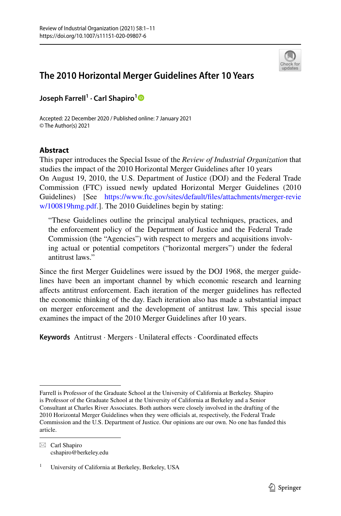

## **The 2010 Horizontal Merger Guidelines After 10 Years**

**Joseph Farrell1 · Carl Shapiro[1](http://orcid.org/0000-0003-4430-3655)**

Accepted: 22 December 2020 / Published online: 7 January 2021 © The Author(s) 2021

## **Abstract**

This paper introduces the Special Issue of the *Review of Industrial Organization* that studies the impact of the 2010 Horizontal Merger Guidelines after 10 years On August 19, 2010, the U.S. Department of Justice (DOJ) and the Federal Trade Commission (FTC) issued newly updated Horizontal Merger Guidelines (2010 Guidelines) [See [https://www.ftc.gov/sites/default/fles/attachments/merger-revie](https://www.ftc.gov/sites/default/files/attachments/merger-review/100819hmg.pdf) [w/100819hmg.pdf.](https://www.ftc.gov/sites/default/files/attachments/merger-review/100819hmg.pdf)]. The 2010 Guidelines begin by stating:

"These Guidelines outline the principal analytical techniques, practices, and the enforcement policy of the Department of Justice and the Federal Trade Commission (the "Agencies") with respect to mergers and acquisitions involving actual or potential competitors ("horizontal mergers") under the federal antitrust laws."

Since the frst Merger Guidelines were issued by the DOJ 1968, the merger guidelines have been an important channel by which economic research and learning afects antitrust enforcement. Each iteration of the merger guidelines has refected the economic thinking of the day. Each iteration also has made a substantial impact on merger enforcement and the development of antitrust law. This special issue examines the impact of the 2010 Merger Guidelines after 10 years.

Keywords Antitrust · Mergers · Unilateral effects · Coordinated effects

Farrell is Professor of the Graduate School at the University of California at Berkeley. Shapiro is Professor of the Graduate School at the University of California at Berkeley and a Senior Consultant at Charles River Associates. Both authors were closely involved in the drafting of the 2010 Horizontal Merger Guidelines when they were officials at, respectively, the Federal Trade Commission and the U.S. Department of Justice. Our opinions are our own. No one has funded this article.

 $\boxtimes$  Carl Shapiro cshapiro@berkeley.edu

University of California at Berkeley, Berkeley, USA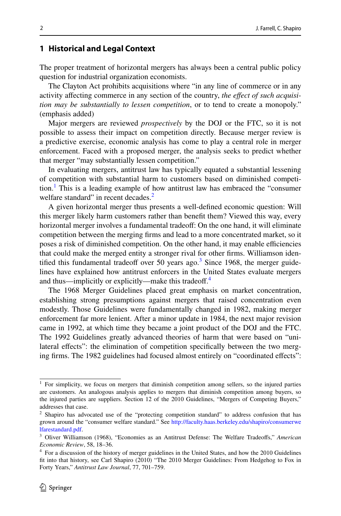## **1 Historical and Legal Context**

The proper treatment of horizontal mergers has always been a central public policy question for industrial organization economists.

The Clayton Act prohibits acquisitions where "in any line of commerce or in any activity afecting commerce in any section of the country, *the efect of such acquisition may be substantially to lessen competition*, or to tend to create a monopoly." (emphasis added)

Major mergers are reviewed *prospectively* by the DOJ or the FTC, so it is not possible to assess their impact on competition directly. Because merger review is a predictive exercise, economic analysis has come to play a central role in merger enforcement. Faced with a proposed merger, the analysis seeks to predict whether that merger "may substantially lessen competition."

In evaluating mergers, antitrust law has typically equated a substantial lessening of competition with substantial harm to customers based on diminished competition.[1](#page-1-0) This is a leading example of how antitrust law has embraced the "consumer welfare standard" in recent decades.<sup>2</sup>

A given horizontal merger thus presents a well-defned economic question: Will this merger likely harm customers rather than beneft them? Viewed this way, every horizontal merger involves a fundamental tradeoff: On the one hand, it will eliminate competition between the merging frms and lead to a more concentrated market, so it poses a risk of diminished competition. On the other hand, it may enable efficiencies that could make the merged entity a stronger rival for other frms. Williamson iden-tified this fundamental tradeoff over 50 years ago.<sup>[3](#page-1-2)</sup> Since 1968, the merger guidelines have explained how antitrust enforcers in the United States evaluate mergers and thus—implicitly or explicitly—make this tradeoff.<sup>[4](#page-1-3)</sup>

The 1968 Merger Guidelines placed great emphasis on market concentration, establishing strong presumptions against mergers that raised concentration even modestly. Those Guidelines were fundamentally changed in 1982, making merger enforcement far more lenient. After a minor update in 1984, the next major revision came in 1992, at which time they became a joint product of the DOJ and the FTC. The 1992 Guidelines greatly advanced theories of harm that were based on "unilateral effects": the elimination of competition specifically between the two merging frms. The 1982 guidelines had focused almost entirely on "coordinated efects":

<span id="page-1-0"></span><sup>&</sup>lt;sup>1</sup> For simplicity, we focus on mergers that diminish competition among sellers, so the injured parties are customers. An analogous analysis applies to mergers that diminish competition among buyers, so the injured parties are suppliers. Section 12 of the 2010 Guidelines, "Mergers of Competing Buyers," addresses that case.

<span id="page-1-1"></span><sup>&</sup>lt;sup>2</sup> Shapiro has advocated use of the "protecting competition standard" to address confusion that has grown around the "consumer welfare standard." See [http://faculty.haas.berkeley.edu/shapiro/consumerwe](http://faculty.haas.berkeley.edu/shapiro/consumerwelfarestandard.pdf) [lfarestandard.pdf](http://faculty.haas.berkeley.edu/shapiro/consumerwelfarestandard.pdf).

<span id="page-1-2"></span><sup>3</sup> Oliver Williamson (1968), "Economies as an Antitrust Defense: The Welfare Tradeofs," *American Economic Review*, 58, 18–36.

<span id="page-1-3"></span><sup>4</sup> For a discussion of the history of merger guidelines in the United States, and how the 2010 Guidelines ft into that history, see Carl Shapiro (2010) "The 2010 Merger Guidelines: From Hedgehog to Fox in Forty Years," *Antitrust Law Journal*, 77, 701–759.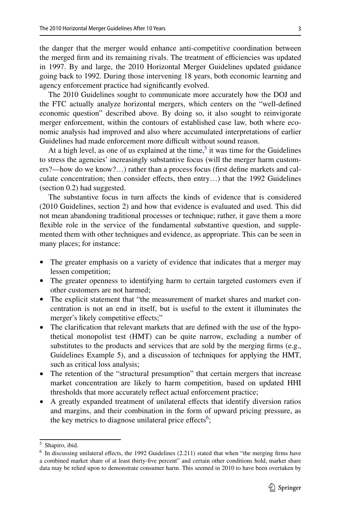3

the danger that the merger would enhance anti-competitive coordination between the merged firm and its remaining rivals. The treatment of efficiencies was updated in 1997. By and large, the 2010 Horizontal Merger Guidelines updated guidance going back to 1992. During those intervening 18 years, both economic learning and agency enforcement practice had signifcantly evolved.

The 2010 Guidelines sought to communicate more accurately how the DOJ and the FTC actually analyze horizontal mergers, which centers on the "well-defned economic question" described above. By doing so, it also sought to reinvigorate merger enforcement, within the contours of established case law, both where economic analysis had improved and also where accumulated interpretations of earlier Guidelines had made enforcement more difficult without sound reason.

At a high level, as one of us explained at the time, $\frac{5}{3}$  it was time for the Guidelines to stress the agencies' increasingly substantive focus (will the merger harm customers?—how do we know?…) rather than a process focus (frst defne markets and calculate concentration; then consider efects, then entry…) that the 1992 Guidelines (section 0.2) had suggested.

The substantive focus in turn affects the kinds of evidence that is considered (2010 Guidelines, section 2) and how that evidence is evaluated and used. This did not mean abandoning traditional processes or technique; rather, it gave them a more fexible role in the service of the fundamental substantive question, and supplemented them with other techniques and evidence, as appropriate. This can be seen in many places; for instance:

- The greater emphasis on a variety of evidence that indicates that a merger may lessen competition;
- The greater openness to identifying harm to certain targeted customers even if other customers are not harmed;
- The explicit statement that "the measurement of market shares and market concentration is not an end in itself, but is useful to the extent it illuminates the merger's likely competitive effects;"
- The clarification that relevant markets that are defined with the use of the hypothetical monopolist test (HMT) can be quite narrow, excluding a number of substitutes to the products and services that are sold by the merging frms (e.g., Guidelines Example 5), and a discussion of techniques for applying the HMT, such as critical loss analysis;
- The retention of the "structural presumption" that certain mergers that increase market concentration are likely to harm competition, based on updated HHI thresholds that more accurately refect actual enforcement practice;
- A greatly expanded treatment of unilateral efects that identify diversion ratios and margins, and their combination in the form of upward pricing pressure, as the key metrics to diagnose unilateral price effects<sup>[6](#page-2-1)</sup>;

<span id="page-2-0"></span><sup>5</sup> Shapiro, ibid.

<span id="page-2-1"></span> $<sup>6</sup>$  In discussing unilateral effects, the 1992 Guidelines (2.211) stated that when "the merging firms have</sup> a combined market share of at least thirty-fve percent" and certain other conditions hold, market share data may be relied upon to demonstrate consumer harm. This seemed in 2010 to have been overtaken by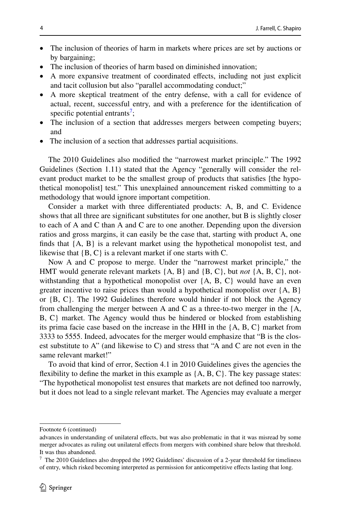- The inclusion of theories of harm in markets where prices are set by auctions or by bargaining;
- The inclusion of theories of harm based on diminished innovation;
- A more expansive treatment of coordinated efects, including not just explicit and tacit collusion but also "parallel accommodating conduct;"
- A more skeptical treatment of the entry defense, with a call for evidence of actual, recent, successful entry, and with a preference for the identifcation of specific potential entrants<sup>7</sup>;
- The inclusion of a section that addresses mergers between competing buyers; and
- The inclusion of a section that addresses partial acquisitions.

The 2010 Guidelines also modifed the "narrowest market principle." The 1992 Guidelines (Section 1.11) stated that the Agency "generally will consider the relevant product market to be the smallest group of products that satisfes [the hypothetical monopolist] test." This unexplained announcement risked committing to a methodology that would ignore important competition.

Consider a market with three diferentiated products: A, B, and C. Evidence shows that all three are signifcant substitutes for one another, but B is slightly closer to each of A and C than A and C are to one another. Depending upon the diversion ratios and gross margins, it can easily be the case that, starting with product A, one finds that  ${A, B}$  is a relevant market using the hypothetical monopolist test, and likewise that {B, C} is a relevant market if one starts with C.

Now A and C propose to merge. Under the "narrowest market principle," the HMT would generate relevant markets {A, B} and {B, C}, but *not* {A, B, C}, notwithstanding that a hypothetical monopolist over {A, B, C} would have an even greater incentive to raise prices than would a hypothetical monopolist over  ${A, B}$ or {B, C}. The 1992 Guidelines therefore would hinder if not block the Agency from challenging the merger between A and C as a three-to-two merger in the  ${A$ , B, C} market. The Agency would thus be hindered or blocked from establishing its prima facie case based on the increase in the HHI in the {A, B, C} market from 3333 to 5555. Indeed, advocates for the merger would emphasize that "B is the closest substitute to A" (and likewise to C) and stress that "A and C are not even in the same relevant market!"

To avoid that kind of error, Section 4.1 in 2010 Guidelines gives the agencies the flexibility to define the market in this example as  $\{A, B, C\}$ . The key passage states: "The hypothetical monopolist test ensures that markets are not defned too narrowly, but it does not lead to a single relevant market. The Agencies may evaluate a merger

Footnote 6 (continued)

advances in understanding of unilateral efects, but was also problematic in that it was misread by some merger advocates as ruling out unilateral effects from mergers with combined share below that threshold. It was thus abandoned.

<span id="page-3-0"></span> $<sup>7</sup>$  The 2010 Guidelines also dropped the 1992 Guidelines' discussion of a 2-year threshold for timeliness</sup> of entry, which risked becoming interpreted as permission for anticompetitive efects lasting that long.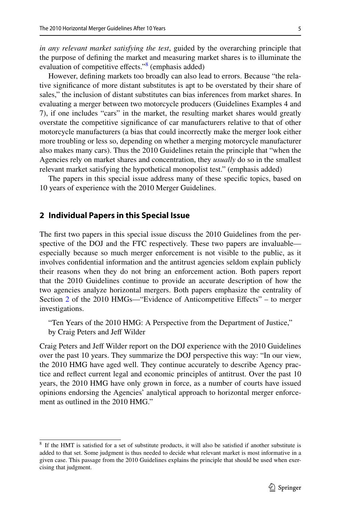*in any relevant market satisfying the test*, guided by the overarching principle that the purpose of defning the market and measuring market shares is to illuminate the evaluation of competitive effects."<sup>[8](#page-4-0)</sup> (emphasis added)

However, defning markets too broadly can also lead to errors. Because "the relative signifcance of more distant substitutes is apt to be overstated by their share of sales," the inclusion of distant substitutes can bias inferences from market shares. In evaluating a merger between two motorcycle producers (Guidelines Examples 4 and 7), if one includes "cars" in the market, the resulting market shares would greatly overstate the competitive signifcance of car manufacturers relative to that of other motorcycle manufacturers (a bias that could incorrectly make the merger look either more troubling or less so, depending on whether a merging motorcycle manufacturer also makes many cars). Thus the 2010 Guidelines retain the principle that "when the Agencies rely on market shares and concentration, they *usually* do so in the smallest relevant market satisfying the hypothetical monopolist test." (emphasis added)

The papers in this special issue address many of these specifc topics, based on 10 years of experience with the 2010 Merger Guidelines.

## <span id="page-4-1"></span>**2 Individual Papers in this Special Issue**

The frst two papers in this special issue discuss the 2010 Guidelines from the perspective of the DOJ and the FTC respectively. These two papers are invaluable especially because so much merger enforcement is not visible to the public, as it involves confdential information and the antitrust agencies seldom explain publicly their reasons when they do not bring an enforcement action. Both papers report that the 2010 Guidelines continue to provide an accurate description of how the two agencies analyze horizontal mergers. Both papers emphasize the centrality of Section [2](#page-4-1) of the 2010 HMGs—"Evidence of Anticompetitive Efects" – to merger investigations.

"Ten Years of the 2010 HMG: A Perspective from the Department of Justice," by Craig Peters and Jeff Wilder

Craig Peters and Jeff Wilder report on the DOJ experience with the 2010 Guidelines over the past 10 years. They summarize the DOJ perspective this way: "In our view, the 2010 HMG have aged well. They continue accurately to describe Agency practice and refect current legal and economic principles of antitrust. Over the past 10 years, the 2010 HMG have only grown in force, as a number of courts have issued opinions endorsing the Agencies' analytical approach to horizontal merger enforcement as outlined in the 2010 HMG."

<span id="page-4-0"></span><sup>&</sup>lt;sup>8</sup> If the HMT is satisfied for a set of substitute products, it will also be satisfied if another substitute is added to that set. Some judgment is thus needed to decide what relevant market is most informative in a given case. This passage from the 2010 Guidelines explains the principle that should be used when exercising that judgment.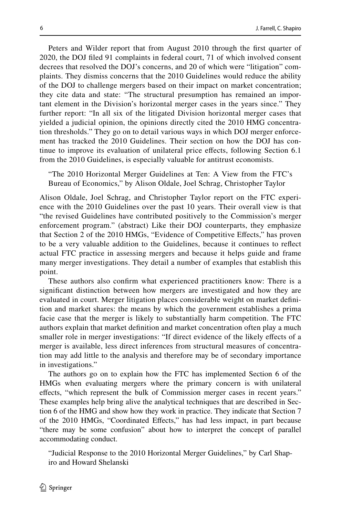Peters and Wilder report that from August 2010 through the frst quarter of 2020, the DOJ fled 91 complaints in federal court, 71 of which involved consent decrees that resolved the DOJ's concerns, and 20 of which were "litigation" complaints. They dismiss concerns that the 2010 Guidelines would reduce the ability of the DOJ to challenge mergers based on their impact on market concentration; they cite data and state: "The structural presumption has remained an important element in the Division's horizontal merger cases in the years since." They further report: "In all six of the litigated Division horizontal merger cases that yielded a judicial opinion, the opinions directly cited the 2010 HMG concentration thresholds." They go on to detail various ways in which DOJ merger enforcement has tracked the 2010 Guidelines. Their section on how the DOJ has continue to improve its evaluation of unilateral price efects, following Section 6.1 from the 2010 Guidelines, is especially valuable for antitrust economists.

"The 2010 Horizontal Merger Guidelines at Ten: A View from the FTC's Bureau of Economics," by Alison Oldale, Joel Schrag, Christopher Taylor

Alison Oldale, Joel Schrag, and Christopher Taylor report on the FTC experience with the 2010 Guidelines over the past 10 years. Their overall view is that "the revised Guidelines have contributed positively to the Commission's merger enforcement program." (abstract) Like their DOJ counterparts, they emphasize that Section 2 of the 2010 HMGs, "Evidence of Competitive Efects," has proven to be a very valuable addition to the Guidelines, because it continues to refect actual FTC practice in assessing mergers and because it helps guide and frame many merger investigations. They detail a number of examples that establish this point.

These authors also confrm what experienced practitioners know: There is a signifcant distinction between how mergers are investigated and how they are evaluated in court. Merger litigation places considerable weight on market defnition and market shares: the means by which the government establishes a prima facie case that the merger is likely to substantially harm competition. The FTC authors explain that market defnition and market concentration often play a much smaller role in merger investigations: "If direct evidence of the likely efects of a merger is available, less direct inferences from structural measures of concentration may add little to the analysis and therefore may be of secondary importance in investigations."

The authors go on to explain how the FTC has implemented Section 6 of the HMGs when evaluating mergers where the primary concern is with unilateral efects, "which represent the bulk of Commission merger cases in recent years." These examples help bring alive the analytical techniques that are described in Section 6 of the HMG and show how they work in practice. They indicate that Section 7 of the 2010 HMGs, "Coordinated Efects," has had less impact, in part because "there may be some confusion" about how to interpret the concept of parallel accommodating conduct.

"Judicial Response to the 2010 Horizontal Merger Guidelines," by Carl Shapiro and Howard Shelanski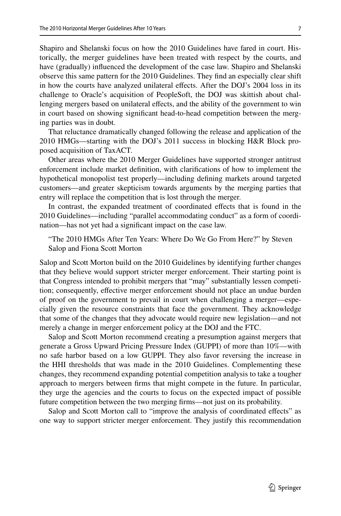Shapiro and Shelanski focus on how the 2010 Guidelines have fared in court. Historically, the merger guidelines have been treated with respect by the courts, and have (gradually) infuenced the development of the case law. Shapiro and Shelanski observe this same pattern for the 2010 Guidelines. They fnd an especially clear shift in how the courts have analyzed unilateral efects. After the DOJ's 2004 loss in its challenge to Oracle's acquisition of PeopleSoft, the DOJ was skittish about challenging mergers based on unilateral efects, and the ability of the government to win in court based on showing signifcant head-to-head competition between the merging parties was in doubt.

That reluctance dramatically changed following the release and application of the 2010 HMGs—starting with the DOJ's 2011 success in blocking H&R Block proposed acquisition of TaxACT.

Other areas where the 2010 Merger Guidelines have supported stronger antitrust enforcement include market defnition, with clarifcations of how to implement the hypothetical monopolist test properly—including defning markets around targeted customers—and greater skepticism towards arguments by the merging parties that entry will replace the competition that is lost through the merger.

In contrast, the expanded treatment of coordinated efects that is found in the 2010 Guidelines—including "parallel accommodating conduct" as a form of coordination—has not yet had a signifcant impact on the case law.

"The 2010 HMGs After Ten Years: Where Do We Go From Here?" by Steven Salop and Fiona Scott Morton

Salop and Scott Morton build on the 2010 Guidelines by identifying further changes that they believe would support stricter merger enforcement. Their starting point is that Congress intended to prohibit mergers that "may" substantially lessen competition; consequently, efective merger enforcement should not place an undue burden of proof on the government to prevail in court when challenging a merger—especially given the resource constraints that face the government. They acknowledge that some of the changes that they advocate would require new legislation—and not merely a change in merger enforcement policy at the DOJ and the FTC.

Salop and Scott Morton recommend creating a presumption against mergers that generate a Gross Upward Pricing Pressure Index (GUPPI) of more than 10%—with no safe harbor based on a low GUPPI. They also favor reversing the increase in the HHI thresholds that was made in the 2010 Guidelines. Complementing these changes, they recommend expanding potential competition analysis to take a tougher approach to mergers between frms that might compete in the future. In particular, they urge the agencies and the courts to focus on the expected impact of possible future competition between the two merging frms—not just on its probability.

Salop and Scott Morton call to "improve the analysis of coordinated effects" as one way to support stricter merger enforcement. They justify this recommendation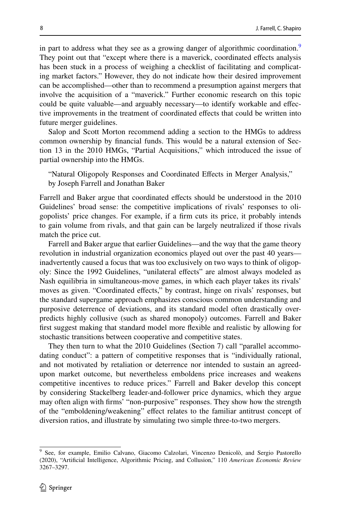in part to address what they see as a growing danger of algorithmic coordination.<sup>[9](#page-7-0)</sup> They point out that "except where there is a maverick, coordinated efects analysis has been stuck in a process of weighing a checklist of facilitating and complicating market factors." However, they do not indicate how their desired improvement can be accomplished—other than to recommend a presumption against mergers that involve the acquisition of a "maverick." Further economic research on this topic could be quite valuable—and arguably necessary—to identify workable and efective improvements in the treatment of coordinated efects that could be written into future merger guidelines.

Salop and Scott Morton recommend adding a section to the HMGs to address common ownership by fnancial funds. This would be a natural extension of Section 13 in the 2010 HMGs, "Partial Acquisitions," which introduced the issue of partial ownership into the HMGs.

"Natural Oligopoly Responses and Coordinated Effects in Merger Analysis," by Joseph Farrell and Jonathan Baker

Farrell and Baker argue that coordinated effects should be understood in the 2010 Guidelines' broad sense: the competitive implications of rivals' responses to oligopolists' price changes. For example, if a frm cuts its price, it probably intends to gain volume from rivals, and that gain can be largely neutralized if those rivals match the price cut.

Farrell and Baker argue that earlier Guidelines—and the way that the game theory revolution in industrial organization economics played out over the past 40 years inadvertently caused a focus that was too exclusively on two ways to think of oligopoly: Since the 1992 Guidelines, "unilateral efects" are almost always modeled as Nash equilibria in simultaneous-move games, in which each player takes its rivals' moves as given. "Coordinated efects," by contrast, hinge on rivals' responses, but the standard supergame approach emphasizes conscious common understanding and purposive deterrence of deviations, and its standard model often drastically overpredicts highly collusive (such as shared monopoly) outcomes. Farrell and Baker frst suggest making that standard model more fexible and realistic by allowing for stochastic transitions between cooperative and competitive states.

They then turn to what the 2010 Guidelines (Section 7) call "parallel accommodating conduct": a pattern of competitive responses that is "individually rational, and not motivated by retaliation or deterrence nor intended to sustain an agreedupon market outcome, but nevertheless emboldens price increases and weakens competitive incentives to reduce prices." Farrell and Baker develop this concept by considering Stackelberg leader-and-follower price dynamics, which they argue may often align with frms' "non-purposive" responses. They show how the strength of the "emboldening/weakening" efect relates to the familiar antitrust concept of diversion ratios, and illustrate by simulating two simple three-to-two mergers.

<span id="page-7-0"></span><sup>9</sup> See, for example, Emilio Calvano, Giacomo Calzolari, Vincenzo Denicolò, and Sergio Pastorello (2020), "Artifcial Intelligence, Algorithmic Pricing, and Collusion," 110 *American Economic Review* 3267–3297.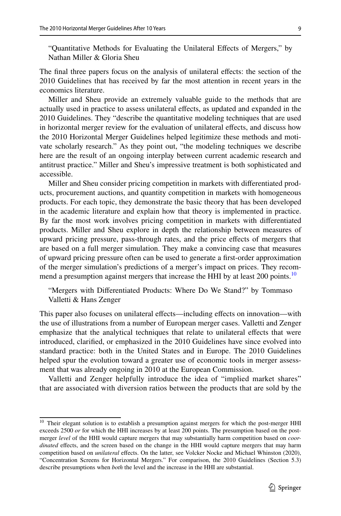"Quantitative Methods for Evaluating the Unilateral Efects of Mergers," by Nathan Miller & Gloria Sheu

The fnal three papers focus on the analysis of unilateral efects: the section of the 2010 Guidelines that has received by far the most attention in recent years in the economics literature.

Miller and Sheu provide an extremely valuable guide to the methods that are actually used in practice to assess unilateral effects, as updated and expanded in the 2010 Guidelines. They "describe the quantitative modeling techniques that are used in horizontal merger review for the evaluation of unilateral efects, and discuss how the 2010 Horizontal Merger Guidelines helped legitimize these methods and motivate scholarly research." As they point out, "the modeling techniques we describe here are the result of an ongoing interplay between current academic research and antitrust practice." Miller and Sheu's impressive treatment is both sophisticated and accessible.

Miller and Sheu consider pricing competition in markets with diferentiated products, procurement auctions, and quantity competition in markets with homogeneous products. For each topic, they demonstrate the basic theory that has been developed in the academic literature and explain how that theory is implemented in practice. By far the most work involves pricing competition in markets with diferentiated products. Miller and Sheu explore in depth the relationship between measures of upward pricing pressure, pass-through rates, and the price efects of mergers that are based on a full merger simulation. They make a convincing case that measures of upward pricing pressure often can be used to generate a frst-order approximation of the merger simulation's predictions of a merger's impact on prices. They recom-mend a presumption against mergers that increase the HHI by at least 200 points.<sup>[10](#page-8-0)</sup>

"Mergers with Diferentiated Products: Where Do We Stand?" by Tommaso Valletti & Hans Zenger

This paper also focuses on unilateral efects—including efects on innovation—with the use of illustrations from a number of European merger cases. Valletti and Zenger emphasize that the analytical techniques that relate to unilateral efects that were introduced, clarifed, or emphasized in the 2010 Guidelines have since evolved into standard practice: both in the United States and in Europe. The 2010 Guidelines helped spur the evolution toward a greater use of economic tools in merger assessment that was already ongoing in 2010 at the European Commission.

Valletti and Zenger helpfully introduce the idea of "implied market shares" that are associated with diversion ratios between the products that are sold by the

<span id="page-8-0"></span><sup>&</sup>lt;sup>10</sup> Their elegant solution is to establish a presumption against mergers for which the post-merger HHI exceeds 2500 or for which the HHI increases by at least 200 points. The presumption based on the postmerger *level* of the HHI would capture mergers that may substantially harm competition based on *coordinated* effects, and the screen based on the change in the HHI would capture mergers that may harm competition based on *unilateral* efects. On the latter, see Volcker Nocke and Michael Whinston (2020), "Concentration Screens for Horizontal Mergers." For comparison, the 2010 Guidelines (Section 5.3) describe presumptions when *both* the level and the increase in the HHI are substantial.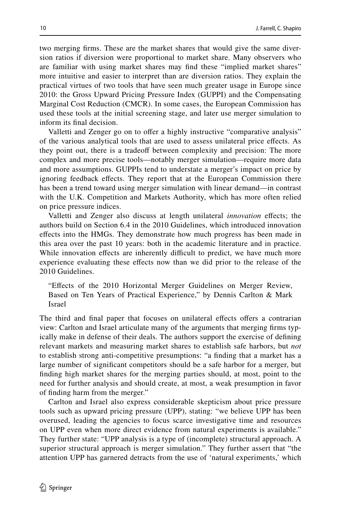two merging frms. These are the market shares that would give the same diversion ratios if diversion were proportional to market share. Many observers who are familiar with using market shares may fnd these "implied market shares" more intuitive and easier to interpret than are diversion ratios. They explain the practical virtues of two tools that have seen much greater usage in Europe since 2010: the Gross Upward Pricing Pressure Index (GUPPI) and the Compensating Marginal Cost Reduction (CMCR). In some cases, the European Commission has used these tools at the initial screening stage, and later use merger simulation to inform its fnal decision.

Valletti and Zenger go on to offer a highly instructive "comparative analysis" of the various analytical tools that are used to assess unilateral price efects. As they point out, there is a tradeoff between complexity and precision: The more complex and more precise tools—notably merger simulation—require more data and more assumptions. GUPPIs tend to understate a merger's impact on price by ignoring feedback efects. They report that at the European Commission there has been a trend toward using merger simulation with linear demand—in contrast with the U.K. Competition and Markets Authority, which has more often relied on price pressure indices.

Valletti and Zenger also discuss at length unilateral *innovation* efects; the authors build on Section 6.4 in the 2010 Guidelines, which introduced innovation efects into the HMGs. They demonstrate how much progress has been made in this area over the past 10 years: both in the academic literature and in practice. While innovation effects are inherently difficult to predict, we have much more experience evaluating these efects now than we did prior to the release of the 2010 Guidelines.

"Efects of the 2010 Horizontal Merger Guidelines on Merger Review, Based on Ten Years of Practical Experience," by Dennis Carlton & Mark Israel

The third and fnal paper that focuses on unilateral efects ofers a contrarian view: Carlton and Israel articulate many of the arguments that merging frms typically make in defense of their deals. The authors support the exercise of defning relevant markets and measuring market shares to establish safe harbors, but *not* to establish strong anti-competitive presumptions: "a fnding that a market has a large number of signifcant competitors should be a safe harbor for a merger, but fnding high market shares for the merging parties should, at most, point to the need for further analysis and should create, at most, a weak presumption in favor of fnding harm from the merger."

Carlton and Israel also express considerable skepticism about price pressure tools such as upward pricing pressure (UPP), stating: "we believe UPP has been overused, leading the agencies to focus scarce investigative time and resources on UPP even when more direct evidence from natural experiments is available." They further state: "UPP analysis is a type of (incomplete) structural approach. A superior structural approach is merger simulation." They further assert that "the attention UPP has garnered detracts from the use of 'natural experiments,' which